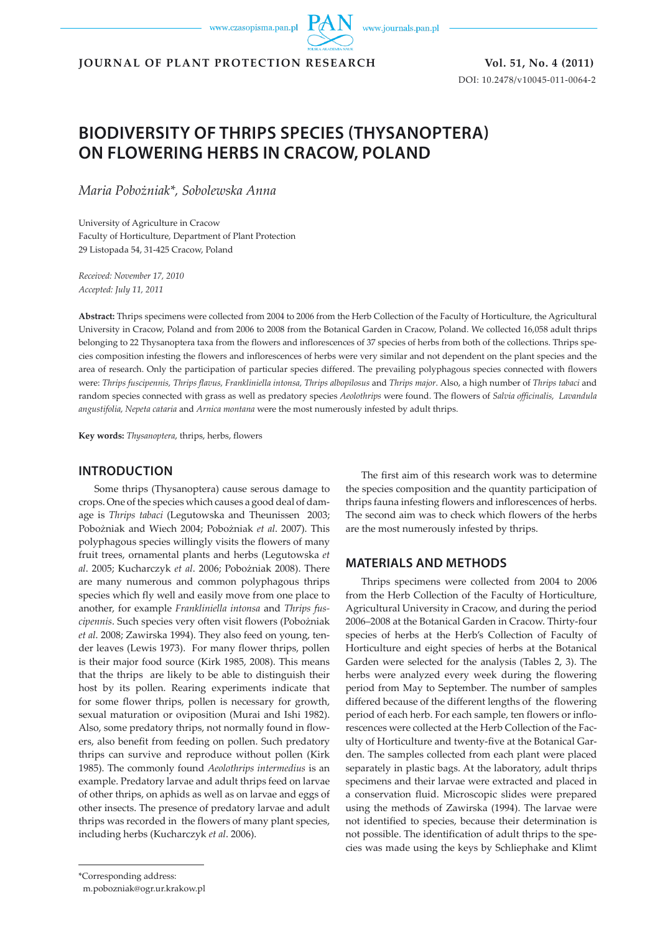www.czasopisma.pan.pl

www.journals.pan.pl

**JOURNAL OF PLANT PROTECTION RESEARCH Vol. 51, No. 4 (2011)**

DOI: 10.2478/v10045-011-0064-2

# **BIODIVERSITY OF THRIPS SPECIES (THYSANOPTERA) ON FLOWERING HERBS IN CRACOW, POLAND**

*Maria Pobożniak\*, Sobolewska Anna*

University of Agriculture in Cracow Faculty of Horticulture, Department of Plant Protection 29 Listopada 54, 31-425 Cracow, Poland

*Received: November 17, 2010 Accepted: July 11, 2011*

**Abstract:** Thrips specimens were collected from 2004 to 2006 from the Herb Collection of the Faculty of Horticulture, the Agricultural University in Cracow, Poland and from 2006 to 2008 from the Botanical Garden in Cracow, Poland. We collected 16,058 adult thrips belonging to 22 Thysanoptera taxa from the flowers and inflorescences of 37 species of herbs from both of the collections. Thrips species composition infesting the flowers and inflorescences of herbs were very similar and not dependent on the plant species and the area of research. Only the participation of particular species differed. The prevailing polyphagous species connected with flowers were: *Thrips fuscipennis, Thrips flavus, Frankliniella intonsa, Thrips albopilosus* and *Thrips major*. Also, a high number of *Thrips tabaci* and random species connected with grass as well as predatory species *Aeolothrips* were found. The flowers of *Salvia officinalis, Lavandula angustifolia, Nepeta cataria* and *Arnica montana* were the most numerously infested by adult thrips.

**Key words:** *Thysanoptera*, thrips, herbs, flowers

#### **INTRODUCTION**

Some thrips (Thysanoptera) cause serous damage to crops. One of the species which causes a good deal of damage is *Thrips tabaci* (Legutowska and Theunissen 2003; Pobożniak and Wiech 2004; Pobożniak *et al*. 2007). This polyphagous species willingly visits the flowers of many fruit trees, ornamental plants and herbs (Legutowska *et al*. 2005; Kucharczyk *et al*. 2006; Pobożniak 2008). There are many numerous and common polyphagous thrips species which fly well and easily move from one place to another, for example *Frankliniella intonsa* and *Thrips fuscipennis*. Such species very often visit flowers (Pobożniak *et al*. 2008; Zawirska 1994). They also feed on young, tender leaves (Lewis 1973). For many flower thrips, pollen is their major food source (Kirk 1985, 2008). This means that the thrips are likely to be able to distinguish their host by its pollen. Rearing experiments indicate that for some flower thrips, pollen is necessary for growth, sexual maturation or oviposition (Murai and Ishi 1982). Also, some predatory thrips, not normally found in flowers, also benefit from feeding on pollen. Such predatory thrips can survive and reproduce without pollen (Kirk 1985). The commonly found *Aeolothrips intermedius* is an example. Predatory larvae and adult thrips feed on larvae of other thrips, on aphids as well as on larvae and eggs of other insects. The presence of predatory larvae and adult thrips was recorded in the flowers of many plant species, including herbs (Kucharczyk *et al*. 2006).

The first aim of this research work was to determine the species composition and the quantity participation of thrips fauna infesting flowers and inflorescences of herbs. The second aim was to check which flowers of the herbs are the most numerously infested by thrips.

### **MATERIALS AND METHODS**

Thrips specimens were collected from 2004 to 2006 from the Herb Collection of the Faculty of Horticulture, Agricultural University in Cracow, and during the period 2006–2008 at the Botanical Garden in Cracow. Thirty-four species of herbs at the Herb's Collection of Faculty of Horticulture and eight species of herbs at the Botanical Garden were selected for the analysis (Tables 2, 3). The herbs were analyzed every week during the flowering period from May to September. The number of samples differed because of the different lengths of the flowering period of each herb. For each sample, ten flowers or inflorescences were collected at the Herb Collection of the Faculty of Horticulture and twenty-five at the Botanical Garden. The samples collected from each plant were placed separately in plastic bags. At the laboratory, adult thrips specimens and their larvae were extracted and placed in a conservation fluid. Microscopic slides were prepared using the methods of Zawirska (1994). The larvae were not identified to species, because their determination is not possible. The identification of adult thrips to the species was made using the keys by Schliephake and Klimt

<sup>\*</sup>Corresponding address:

m.pobozniak@ogr.ur.krakow.pl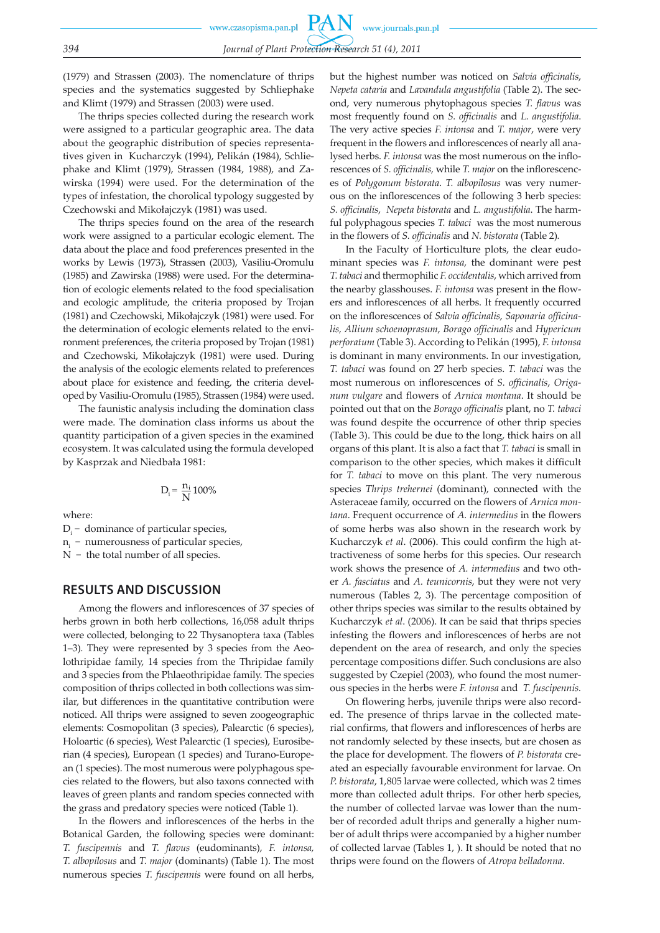(1979) and Strassen (2003). The nomenclature of thrips species and the systematics suggested by Schliephake and Klimt (1979) and Strassen (2003) were used.

The thrips species collected during the research work were assigned to a particular geographic area. The data about the geographic distribution of species representatives given in Kucharczyk (1994), Pelikán (1984), Schliephake and Klimt (1979), Strassen (1984, 1988), and Zawirska (1994) were used. For the determination of the types of infestation, the chorolical typology suggested by Czechowski and Mikołajczyk (1981) was used.

The thrips species found on the area of the research work were assigned to a particular ecologic element. The data about the place and food preferences presented in the works by Lewis (1973), Strassen (2003), Vasiliu-Oromulu (1985) and Zawirska (1988) were used. For the determination of ecologic elements related to the food specialisation and ecologic amplitude, the criteria proposed by Trojan (1981) and Czechowski, Mikołajczyk (1981) were used. For the determination of ecologic elements related to the environment preferences, the criteria proposed by Trojan (1981) and Czechowski, Mikołajczyk (1981) were used. During the analysis of the ecologic elements related to preferences about place for existence and feeding, the criteria developed by Vasiliu-Oromulu (1985), Strassen (1984) were used.

The faunistic analysis including the domination class were made. The domination class informs us about the quantity participation of a given species in the examined ecosystem. It was calculated using the formula developed by Kasprzak and Niedbała 1981:

$$
D_i = \frac{n_i}{N} 100\%
$$

where:

 $D_i$  – dominance of particular species,

n<sub>i</sub> − numerousness of particular species,

N− the total number of all species.

#### **RESULTS AND DISCUSSION**

Among the flowers and inflorescences of 37 species of herbs grown in both herb collections, 16,058 adult thrips were collected, belonging to 22 Thysanoptera taxa (Tables 1–3)*.* They were represented by 3 species from the Aeolothripidae family, 14 species from the Thripidae family and 3 species from the Phlaeothripidae family. The species composition of thrips collected in both collections was similar, but differences in the quantitative contribution were noticed. All thrips were assigned to seven zoogeographic elements: Cosmopolitan (3 species), Palearctic (6 species), Holoartic (6 species), West Palearctic (1 species), Eurosiberian (4 species), European (1 species) and Turano-European (1 species). The most numerous were polyphagous species related to the flowers, but also taxons connected with leaves of green plants and random species connected with the grass and predatory species were noticed (Table 1).

In the flowers and inflorescences of the herbs in the Botanical Garden, the following species were dominant: *T. fuscipennis* and *T. flavus* (eudominants), *F. intonsa, T. albopilosus* and *T. major* (dominants) (Table 1). The most numerous species *T. fuscipennis* were found on all herbs,

but the highest number was noticed on *Salvia officinalis*, *Nepeta cataria* and *Lavandula angustifolia* (Table 2). The second, very numerous phytophagous species *T. flavus* was most frequently found on *S. officinalis* and *L. angustifolia*. The very active species *F. intonsa* and *T. major*, were very frequent in the flowers and inflorescences of nearly all analysed herbs. *F. intonsa* was the most numerous on the inflorescences of *S. officinalis,* while *T. major* on the inflorescences of *Polygonum bistorata*. *T. albopilosus* was very numerous on the inflorescences of the following 3 herb species: *S. officinalis*, *Nepeta bistorata* and *L. angustifolia*. The harmful polyphagous species *T. tabaci* was the most numerous in the flowers of *S. officinalis* and *N. bistorata* (Table 2)*.*

In the Faculty of Horticulture plots, the clear eudominant species was *F. intonsa,* the dominant were pest *T. tabaci* and thermophilic *F. occidentalis*, which arrived from the nearby glasshouses. *F. intonsa* was present in the flowers and inflorescences of all herbs. It frequently occurred on the inflorescences of *Salvia officinalis*, *Saponaria officinalis, Allium schoenoprasum*, *Borago officinalis* and *Hypericum perforatum* (Table 3). According to Pelikán (1995), *F. intonsa* is dominant in many environments. In our investigation, *T. tabaci* was found on 27 herb species. *T. tabaci* was the most numerous on inflorescences of *S. officinalis*, *Origanum vulgare* and flowers of *Arnica montana*. It should be pointed out that on the *Borago officinalis* plant, no *T. tabaci*  was found despite the occurrence of other thrip species (Table 3). This could be due to the long, thick hairs on all organs of this plant. It is also a fact that *T. tabaci* is small in comparison to the other species, which makes it difficult for *T. tabaci* to move on this plant. The very numerous species *Thrips trehernei* (dominant), connected with the Asteraceae family, occurred on the flowers of *Arnica montana*. Frequent occurrence of *A. intermedius* in the flowers of some herbs was also shown in the research work by Kucharczyk *et al*. (2006). This could confirm the high attractiveness of some herbs for this species. Our research work shows the presence of *A. intermedius* and two other *A. fasciatus* and *A. teunicornis*, but they were not very numerous (Tables 2, 3). The percentage composition of other thrips species was similar to the results obtained by Kucharczyk *et al*. (2006). It can be said that thrips species infesting the flowers and inflorescences of herbs are not dependent on the area of research, and only the species percentage compositions differ. Such conclusions are also suggested by Czepiel (2003), who found the most numerous species in the herbs were *F. intonsa* and *T. fuscipennis.*

On flowering herbs, juvenile thrips were also recorded. The presence of thrips larvae in the collected material confirms, that flowers and inflorescences of herbs are not randomly selected by these insects, but are chosen as the place for development. The flowers of *P. bistorata* created an especially favourable environment for larvae. On *P. bistorata*, 1,805 larvae were collected, which was 2 times more than collected adult thrips. For other herb species, the number of collected larvae was lower than the number of recorded adult thrips and generally a higher number of adult thrips were accompanied by a higher number of collected larvae (Tables 1, ). It should be noted that no thrips were found on the flowers of *Atropa belladonna*.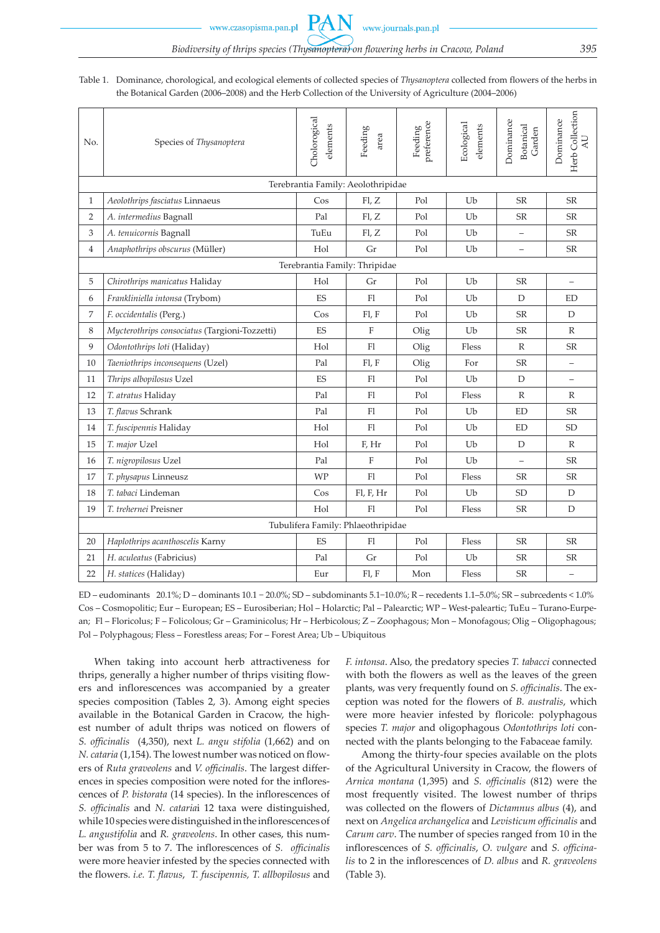Table 1. Dominance, chorological, and ecological elements of collected species of *Thysanoptera* collected from flowers of the herbs in the Botanical Garden (2006–2008) and the Herb Collection of the University of Agriculture (2004–2006)

| No.                                | Species of Thysanoptera                       | Cholorogical<br>elements | Feeding<br>area | Feeding<br>preference | Ecological<br>elements | Dominance<br>Botanical<br>Garden | Herb Collection<br>Dominance<br>$\Delta \text{U}$ |  |  |  |  |  |  |  |  |
|------------------------------------|-----------------------------------------------|--------------------------|-----------------|-----------------------|------------------------|----------------------------------|---------------------------------------------------|--|--|--|--|--|--|--|--|
|                                    | Terebrantia Family: Aeolothripidae            |                          |                 |                       |                        |                                  |                                                   |  |  |  |  |  |  |  |  |
| $\mathbf{1}$                       | Aeolothrips fasciatus Linnaeus                | Cos                      | FL, Z           | Pol                   | Ub                     | <b>SR</b>                        | SR                                                |  |  |  |  |  |  |  |  |
| $\overline{2}$                     | A. intermedius Bagnall                        | Pal                      | FL, Z           | Pol                   | Ub                     | <b>SR</b>                        | $S\!R$                                            |  |  |  |  |  |  |  |  |
| 3                                  | A. tenuicornis Bagnall                        | TuEu                     | FL, Z           | Pol                   | U <sub>b</sub>         | $\qquad \qquad -$                | <b>SR</b>                                         |  |  |  |  |  |  |  |  |
| $\overline{4}$                     | Anaphothrips obscurus (Müller)                | Hol                      | Gr              | Pol                   | Ub                     | $\qquad \qquad -$                | <b>SR</b>                                         |  |  |  |  |  |  |  |  |
|                                    | Terebrantia Family: Thripidae                 |                          |                 |                       |                        |                                  |                                                   |  |  |  |  |  |  |  |  |
| 5                                  | Chirothrips manicatus Haliday                 | Hol                      | Gr              | Pol                   | Ub                     | <b>SR</b>                        | $\qquad \qquad -$                                 |  |  |  |  |  |  |  |  |
| 6                                  | Frankliniella intonsa (Trybom)                | <b>ES</b>                | F1              | Pol                   | Ub                     | D                                | <b>ED</b>                                         |  |  |  |  |  |  |  |  |
| $\overline{7}$                     | F. occidentalis (Perg.)                       | $\cos$                   | Fl, F           | Pol                   | Ub                     | <b>SR</b>                        | D                                                 |  |  |  |  |  |  |  |  |
| 8                                  | Mycterothrips consociatus (Targioni-Tozzetti) | <b>ES</b>                | $\mathbf F$     | Olig                  | Ub                     | <b>SR</b>                        | $\mathbb{R}$                                      |  |  |  |  |  |  |  |  |
| 9                                  | Odontothrips loti (Haliday)                   | Hol                      | Fl              | Olig                  | Fless                  | R                                | $S\!R$                                            |  |  |  |  |  |  |  |  |
| 10                                 | Taeniothrips inconsequens (Uzel)              | Pal                      | Fl, F           | Olig                  | For                    | <b>SR</b>                        | $\equiv$                                          |  |  |  |  |  |  |  |  |
| 11                                 | Thrips albopilosus Uzel                       | ES                       | Fl              | Pol                   | Ub                     | D                                | $\equiv$                                          |  |  |  |  |  |  |  |  |
| 12                                 | T. atratus Haliday                            | Pal                      | Fl              | Pol                   | Fless                  | $\mathbb{R}$                     | $\mathbb{R}$                                      |  |  |  |  |  |  |  |  |
| 13                                 | T. flavus Schrank                             | Pal                      | F1              | Pol                   | Ub                     | <b>ED</b>                        | <b>SR</b>                                         |  |  |  |  |  |  |  |  |
| 14                                 | T. fuscipennis Haliday                        | Hol                      | F1              | Pol                   | Ub                     | ED                               | <b>SD</b>                                         |  |  |  |  |  |  |  |  |
| 15                                 | T. major Uzel                                 | Hol                      | F, Hr           | Pol                   | Ub                     | D                                | $\mathbb{R}$                                      |  |  |  |  |  |  |  |  |
| 16                                 | T. nigropilosus Uzel                          | Pal                      | $\mathbf F$     | Pol                   | U <sub>b</sub>         |                                  | <b>SR</b>                                         |  |  |  |  |  |  |  |  |
| 17                                 | T. physapus Linneusz                          | <b>WP</b>                | F1              | Pol                   | Fless                  | <b>SR</b>                        | $S\!R$                                            |  |  |  |  |  |  |  |  |
| 18                                 | T. tabaci Lindeman                            | $\cos$                   | Fl, F, Hr       | Pol                   | Ub                     | <b>SD</b>                        | D                                                 |  |  |  |  |  |  |  |  |
| 19                                 | T. trehernei Preisner                         | Hol                      | F1              | Pol                   | Fless                  | <b>SR</b>                        | $\mathbb D$                                       |  |  |  |  |  |  |  |  |
| Tubulifera Family: Phlaeothripidae |                                               |                          |                 |                       |                        |                                  |                                                   |  |  |  |  |  |  |  |  |
| 20                                 | Haplothrips acanthoscelis Karny               | ES                       | F1              | Pol                   | Fless                  | <b>SR</b>                        | $S\!R$                                            |  |  |  |  |  |  |  |  |
| 21                                 | H. aculeatus (Fabricius)                      | Pal                      | Gr              | Pol                   | Ub                     | <b>SR</b>                        | SR                                                |  |  |  |  |  |  |  |  |
| 22                                 | H. statices (Haliday)                         | Eur                      | Fl, F           | Mon                   | Fless                  | <b>SR</b>                        | $\equiv$                                          |  |  |  |  |  |  |  |  |

ED – eudominants 20.1%; D – dominants 10.1 − 20.0%; SD – subdominants 5.1−10.0%; R – recedents 1.1–5.0%; SR – subrcedents < 1.0% Cos – Cosmopolitic; Eur – European; ES – Eurosiberian; Hol – Holarctic; Pal – Palearctic; WP – West-paleartic; TuEu – Turano-Eurpean; Fl – Floricolus; F – Folicolous; Gr – Graminicolus; Hr – Herbicolous; Z – Zoophagous; Mon – Monofagous; Olig – Oligophagous; Pol – Polyphagous; Fless – Forestless areas; For – Forest Area; Ub – Ubiquitous

When taking into account herb attractiveness for thrips, generally a higher number of thrips visiting flowers and inflorescences was accompanied by a greater species composition (Tables 2, 3). Among eight species available in the Botanical Garden in Cracow, the highest number of adult thrips was noticed on flowers of *S. officinalis* (4,350), next *L. angu stifolia* (1,662) and on *N. cataria* (1,154). The lowest number was noticed on flowers of *Ruta graveolens* and *V. officinalis*. The largest differences in species composition were noted for the inflorescences of *P. bistorata* (14 species). In the inflorescences of *S. officinalis* and *N. cataria*i 12 taxa were distinguished, while 10 species were distinguished in the inflorescences of *L. angustifolia* and *R. graveolens*. In other cases, this number was from 5 to 7. The inflorescences of *S. officinalis*  were more heavier infested by the species connected with the flowers. *i.e. T. flavus*, *T. fuscipennis, T. allbopilosus* and *F. intonsa*. Also, the predatory species *T. tabacci* connected with both the flowers as well as the leaves of the green plants, was very frequently found on *S. officinalis*. The exception was noted for the flowers of *B. australis*, which were more heavier infested by floricole: polyphagous species *T. major* and oligophagous *Odontothrips loti* connected with the plants belonging to the Fabaceae family.

Among the thirty-four species available on the plots of the Agricultural University in Cracow, the flowers of *Arnica montana* (1,395) and *S. officinalis* (812) were the most frequently visited. The lowest number of thrips was collected on the flowers of *Dictamnus albus* (4), and next on *Angelica archangelica* and *Levisticum officinalis* and *Carum carv*. The number of species ranged from 10 in the inflorescences of *S. officinalis*, *O. vulgare* and *S. officinalis* to 2 in the inflorescences of *D. albus* and *R. graveolens* (Table 3).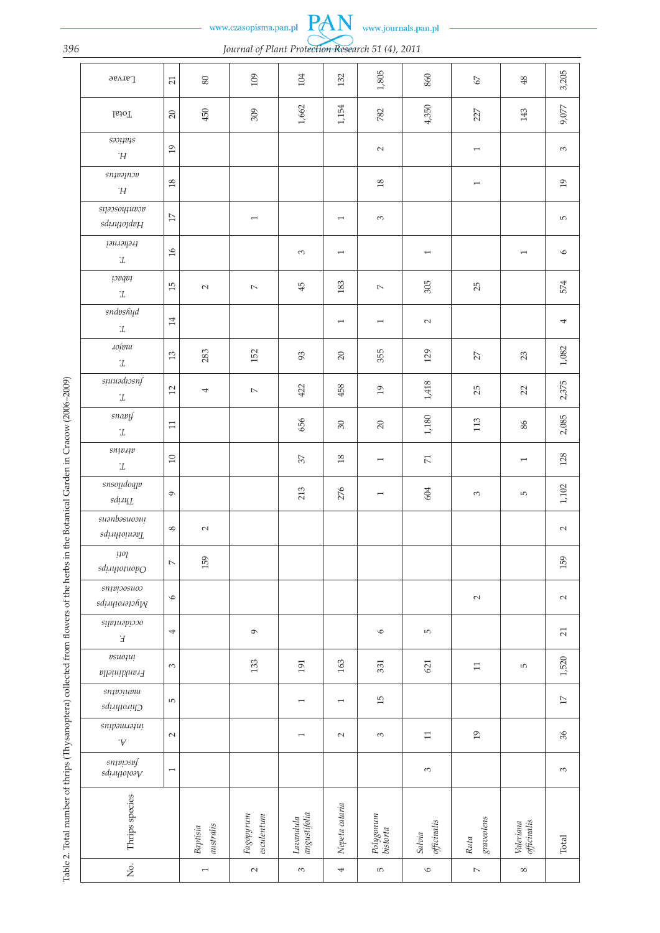www.czasopisma.pan.pl

www.journals.pan.pl

# *396 Journal of Plant Protection Research 51 (4), 2011*

PAN

|                                                                                                                                  | <b>Larvae</b>                                                                                                                                               | 21                       | $80\,$                | 109                           | 104                                               | 132            | 1,805                    | 860                      | $\mathcal{L}9$           | 48                       | 3,205           |
|----------------------------------------------------------------------------------------------------------------------------------|-------------------------------------------------------------------------------------------------------------------------------------------------------------|--------------------------|-----------------------|-------------------------------|---------------------------------------------------|----------------|--------------------------|--------------------------|--------------------------|--------------------------|-----------------|
|                                                                                                                                  | <b>I</b> ctal                                                                                                                                               | $20\,$                   | 450                   | 309                           | $1,662$                                           | 1,154          | 782                      | 4,350                    | 227                      | 143                      | 9,077           |
|                                                                                                                                  | $\scriptstyle{{S301}101S}$<br>$\dot H$                                                                                                                      | 19                       |                       |                               |                                                   |                | $\sim$                   |                          | $\overline{\phantom{0}}$ |                          | 3               |
|                                                                                                                                  | $sn$ pap $n$<br>Ή                                                                                                                                           | $18\,$                   |                       |                               |                                                   |                | $18\,$                   |                          | $\overline{ }$           |                          | 19              |
|                                                                                                                                  | snəssoyyuvov<br>Haginhight                                                                                                                                  | $1\!\!7$                 |                       | $\overline{\phantom{0}}$      |                                                   | $\overline{ }$ | $\sim$                   |                          |                          |                          | 5               |
|                                                                                                                                  | tychrysri<br>$\cdot\!$                                                                                                                                      | $16$                     |                       |                               | $\mathfrak{S}$                                    | $\overline{ }$ |                          | $\overline{\phantom{m}}$ |                          | $\overline{\phantom{0}}$ | $\circ$         |
|                                                                                                                                  | 10pqp1<br>$\cdot\!$                                                                                                                                         | 15                       | $\sim$                | $\overline{\phantom{a}}$      | 45                                                | 183            | $\mathord{\sim}$         | 305                      | 25                       |                          | 574             |
|                                                                                                                                  | sndvshyd<br>$\cdot\!$                                                                                                                                       | $14\,$                   |                       |                               |                                                   | $\overline{1}$ | $\overline{\phantom{0}}$ | $\sim$                   |                          |                          | 4               |
|                                                                                                                                  | aolpu<br>$\cdot\!$                                                                                                                                          | $13$                     | 283                   | 152                           | 93                                                | $20\,$         | 355                      | 129                      | 27                       | 23                       | $1,082$         |
| Table 2. Total number of thrips (Thysanoptera) collected from flowers of the herbs in the Botanical Garden in Cracow (2006–2009) | suuadiosnf<br>$\cdot\!$                                                                                                                                     | 12                       | 4                     | $\mathord{\sim}$              | 422                                               | 458            | 19                       | $1,\!418$                | 25                       | 22                       | 2,375           |
|                                                                                                                                  | snavy<br>$\cdot\!$                                                                                                                                          | $\Box$                   |                       |                               | 656                                               | $30\,$         | $20\,$                   | $1,180\,$                | 113                      | $86$                     | 2,085           |
|                                                                                                                                  | $sn$ $\nup$ $\nup$ $\nup$<br>$\cdot\!$                                                                                                                      | $10\,$                   |                       |                               | 57                                                | $18\,$         | $\overline{ }$           | $\overline{\mathbf{r}}$  |                          | $\overline{\phantom{0}}$ | 128             |
|                                                                                                                                  | snsondoqu<br>$sd\mu\nu \llcorner L$                                                                                                                         | $\mathcal{O}$            |                       |                               | 213                                               | 276            | $\overline{\phantom{0}}$ | 604                      | $\mathbb{C}^2$           | 5                        | $1,102$         |
|                                                                                                                                  | suənbəsuoou!<br>Taeniotiniya                                                                                                                                | $\infty$                 | $\sim$                |                               |                                                   |                |                          |                          |                          |                          | $\sim$          |
|                                                                                                                                  | $\mu o_l$<br>sdiay101uopO                                                                                                                                   | $\mathord{\sim}$         | 159                   |                               |                                                   |                |                          |                          |                          |                          | 159             |
|                                                                                                                                  | $sn$ pi<br>oosuoo<br>$sd\mu$ ų $\mu$ o $\mu$ a $\eta$                                                                                                       | $\circ$                  |                       |                               |                                                   |                |                          |                          | $\sim$                   |                          | $\sim$          |
|                                                                                                                                  | occidentalis<br>$\boldsymbol{\mathrm{F}}$                                                                                                                   | 4                        |                       | $\mathcal{O}$                 |                                                   |                | $\circ$                  | 5                        |                          |                          | 21              |
|                                                                                                                                  | $\emph{vsuo}$<br>$\label{eq:conjugation} \begin{aligned} & \textit{min}_{\mathbf{y}} & \textit{min}_{\mathbf{y}} & \textit{min}_{\mathbf{y}} \end{aligned}$ | $\sim$                   |                       | 133                           | 191                                               | 163            | 331                      | 621                      | $\Box$                   | LO <sub>1</sub>          | 1,520           |
|                                                                                                                                  | sn<br>Chirothrips                                                                                                                                           | $\mathsf{L}\Omega$       |                       |                               | $\overline{ }$                                    | $\overline{1}$ | 15                       |                          |                          |                          | $\overline{17}$ |
|                                                                                                                                  | <i>snipəulləqui</i><br>$\cdot \mathbb{A}$                                                                                                                   | $\sim$                   |                       |                               | $\overline{ }$                                    | $\sim$         | $\sim$                   | $\Box$                   | 19                       |                          | 36              |
|                                                                                                                                  | $sn$ pissof<br>$s\dot{d}\mu\eta\dot{q}$ olo $\delta\gamma$                                                                                                  | $\overline{\phantom{m}}$ |                       |                               |                                                   |                |                          | 3                        |                          |                          | 3               |
|                                                                                                                                  | Thrips species                                                                                                                                              |                          | australis<br>Baptisia | Fagopyrum<br>$\it esculentum$ | angustifolia<br>$\label{eq:1} \textit{Lacandula}$ | Nepeta cataria | Polygonum<br>bistorta    | officinalis<br>Salvia    | gravobens<br>Ruta        | officinalis<br>Valeriana | $\mbox{Total}$  |
|                                                                                                                                  | $\rm \dot{z}$                                                                                                                                               |                          | $\overline{ }$        | $\sim$                        | 3                                                 | 4              | rU                       | $\circ$                  | $\mathord{\sim}$         | ${}^{\circ}$             |                 |

Table 2. Total number of thrips (Thysanoptera) collected from flowers of the herbs in the Botanical Garden in Cracow (2006-2009)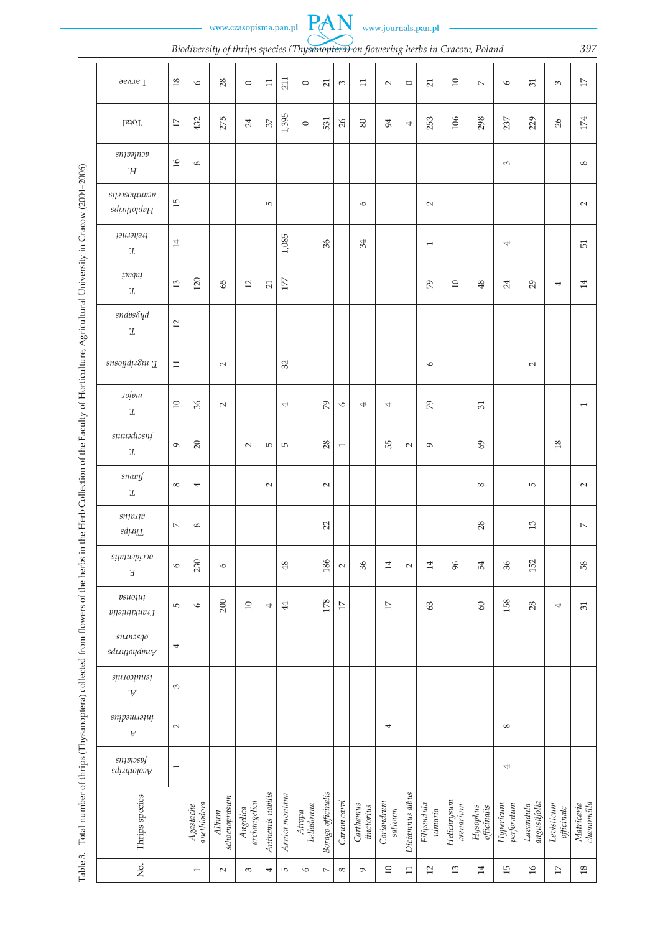

 $\overline{a}$ 

*Biodiversity of thrips species (Thysanoptera) on flowering herbs in Cracow, Polan 397*

|                                                                                                                                                                                | <b>Larvae</b>                           | $18\,$         | $\circ$                  | 28                      | $\circ$                  | $11\,$           | 211            | $\circ$              | $\overline{21}$             | $\mathcal{C}$            | $\Box$                  | $\sim$                | $\circ$         | 21                        | $10$                     | $\overline{\phantom{a}}$ | $\bullet$               | 31                                                | $\mathbbm{C}$            | $\overline{17}$           |
|--------------------------------------------------------------------------------------------------------------------------------------------------------------------------------|-----------------------------------------|----------------|--------------------------|-------------------------|--------------------------|------------------|----------------|----------------------|-----------------------------|--------------------------|-------------------------|-----------------------|-----------------|---------------------------|--------------------------|--------------------------|-------------------------|---------------------------------------------------|--------------------------|---------------------------|
|                                                                                                                                                                                | <b>Ictal</b>                            | $1\!\!7$       | 432                      | 275                     | 24                       | 57               | 1,395          | $\circ$              | 531                         | 26                       | $\rm 80$                | 94                    | 4               | 253                       | 106                      | 298                      | 237                     | 229                                               | 26                       | 174                       |
|                                                                                                                                                                                | snµəqnəv<br>Ή                           | $\frac{3}{16}$ | $\infty$                 |                         |                          |                  |                |                      |                             |                          |                         |                       |                 |                           |                          |                          | $\infty$                |                                                   |                          | ${}^{\circ}$              |
|                                                                                                                                                                                | syaosoyuwov<br>Haploiting               | 15             |                          |                         |                          | $\overline{5}$   |                |                      |                             |                          | $\circ$                 |                       |                 | $\sim$                    |                          |                          |                         |                                                   |                          | $\sim$                    |
|                                                                                                                                                                                | <i>parrorisi</i><br>$\cdot\!\!{\cal I}$ | $14$           |                          |                         |                          |                  | 1,085          |                      | 36                          |                          | $\mathcal{L}$           |                       |                 | $\overline{ }$            |                          |                          | 4                       |                                                   |                          | 51                        |
|                                                                                                                                                                                | 1 <i>00qv1</i><br>$\cdot\!\!{\cal I}$   | 13             | 120                      | 65                      | 12                       | 21               | 177            |                      |                             |                          |                         |                       |                 | $\mathcal{L}$             | $10$                     | 48                       | 24                      | 29                                                | 4                        | $14\,$                    |
|                                                                                                                                                                                | sndvshyd<br>$\cdot\!$                   | 12             |                          |                         |                          |                  |                |                      |                             |                          |                         |                       |                 |                           |                          |                          |                         |                                                   |                          |                           |
|                                                                                                                                                                                | Susoliqiygin T                          | $\Box$         |                          | $\sim$                  |                          |                  | 32             |                      |                             |                          |                         |                       |                 | $\circ$                   |                          |                          |                         | $\sim$                                            |                          |                           |
|                                                                                                                                                                                | <i>A</i> olpu<br>$\cdot_L$              | $10\,$         | 36                       | $\sim$                  |                          |                  | 4              |                      | $\mathcal{P}^{\mathcal{S}}$ | $\circ$                  | 4                       | 4                     |                 | $\mathcal{L}$             |                          | 31                       |                         |                                                   |                          | $\overline{ }$            |
|                                                                                                                                                                                | suuadiosnf<br>$\cdot\!$                 | $\circ$        | $\overline{20}$          |                         | $\sim$                   | $\overline{5}$   | $\overline{5}$ |                      | 28                          | $\overline{\phantom{m}}$ |                         | 55                    | $\sim$          | $\mathsf{\sigma}$         |                          | $\mathcal{S}$            |                         |                                                   | $18$                     |                           |
|                                                                                                                                                                                | snavy<br>$\cdot\!$                      | $\infty$       | 4                        |                         |                          | $\sim$           |                |                      | $\sim$                      |                          |                         |                       |                 |                           |                          | $\infty$                 |                         | $\overline{5}$                                    |                          | $\sim$                    |
|                                                                                                                                                                                | snipijp<br>$sd\mu\nu_{\rm LL}$          | $\overline{C}$ | $\infty$                 |                         |                          |                  |                |                      | 22                          |                          |                         |                       |                 |                           |                          | 28                       |                         | 13                                                |                          | $\overline{\phantom{a}}$  |
|                                                                                                                                                                                | occidentalis<br>$\boldsymbol{\dot{H}}$  | $\circ$        | 230                      | $\circ$                 |                          |                  | 48             |                      | 186                         | $\sim$                   | 36                      | 14                    | $\sim$          | 14                        | 96                       | 54                       | 36                      | 152                                               |                          | 58                        |
|                                                                                                                                                                                | psuoțui<br>Frankliniella                | $\overline{5}$ | $\circ$                  | 200                     | $10$                     | 4                | 44             |                      | 178                         | $1\!\!7$                 |                         | $17\,$                |                 | 63                        |                          | 60                       | 158                     | 28                                                | 4                        | $\overline{31}$           |
|                                                                                                                                                                                | snanosqo<br>$sd\mu\mu\mu\phi\psi$       | 4              |                          |                         |                          |                  |                |                      |                             |                          |                         |                       |                 |                           |                          |                          |                         |                                                   |                          |                           |
| Total number of thrips (Thysanoptera) collected from flowers of the herbs in the Herb Collection of the Faculty of Horticulture, Agricultural University in Cracow (2004-2006) | sinnooiunot<br>.Α.                      | $\infty$       |                          |                         |                          |                  |                |                      |                             |                          |                         |                       |                 |                           |                          |                          |                         |                                                   |                          |                           |
|                                                                                                                                                                                | <i>snip</i> au.tapi<br>.Α.              | $\sim$         |                          |                         |                          |                  |                |                      |                             |                          |                         | 4                     |                 |                           |                          |                          | ${}^{\circ}$            |                                                   |                          |                           |
|                                                                                                                                                                                | $sn$ pissof<br>Aeolothrips              | $\overline{ }$ |                          |                         |                          |                  |                |                      |                             |                          |                         |                       |                 |                           |                          |                          | 4                       |                                                   |                          |                           |
|                                                                                                                                                                                | Thrips species                          |                | anethiodora<br>Agastache | schoenoprasum<br>Allium | archangelica<br>Angelica | Anthemis nobilis | Arnica montana | belladonna<br>Atropa | Borago officinalis          | Carum carvi              | Carthamus<br>tinctorius | Coriandrum<br>sativum | Dictamnus albus | Filipendula<br>$u$ lmaria | Helichrysum<br>arenarium | Hysophus<br>officinalis  | Hypericum<br>perforatum | angustifolia<br>$\label{eq:1} \textit{Lacandula}$ | Levisticum<br>officinale | channonilla<br>Matricaria |
| Table 3.                                                                                                                                                                       | $\stackrel{\rm o}{\simeq}$              |                | $\overline{ }$           | $\sim$                  | $\mathcal{C}$            | 4                | $\overline{5}$ | $\circ$              | $\overline{\phantom{a}}$    | $\infty$                 | $\sigma$                | $10\,$                | $\Box$          | $12\,$                    | $13$                     | $14$                     | 15                      | $\mathfrak{g}_1$                                  | $\Gamma$                 | $18\,$                    |